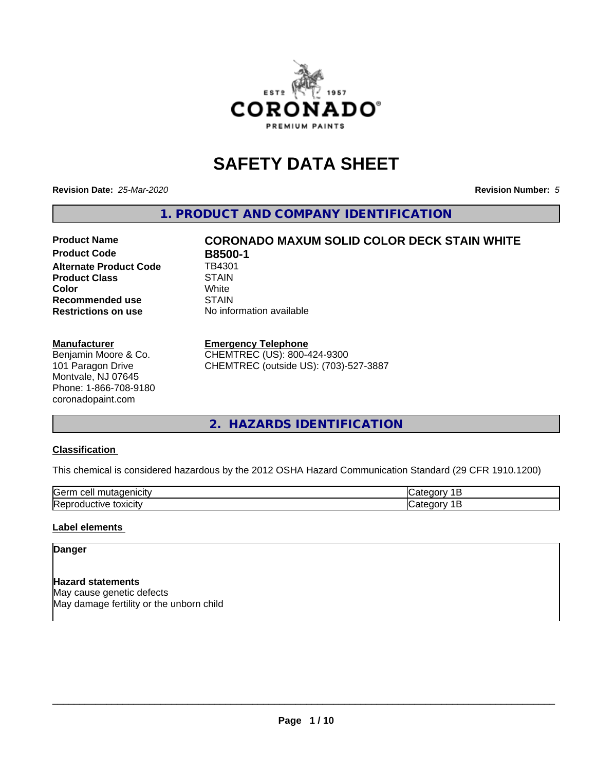

# **SAFETY DATA SHEET**

**Revision Date:** *25-Mar-2020* **Revision Number:** *5*

**1. PRODUCT AND COMPANY IDENTIFICATION**

# **Product Name CORONADO MAXUM SOLID COLOR DECK STAIN WHITE**

**Product Code B8500-1**<br>Alternate Product Code TB4301 **Alternate Product Code Product Class** STAIN<br> **Color Color** White White **Recommended use** STAIN **Restrictions on use** No information available

#### **Manufacturer**

Benjamin Moore & Co. 101 Paragon Drive Montvale, NJ 07645 Phone: 1-866-708-9180 coronadopaint.com

#### **Emergency Telephone**

CHEMTREC (US): 800-424-9300 CHEMTREC (outside US): (703)-527-3887

## **2. HAZARDS IDENTIFICATION**

#### **Classification**

This chemical is considered hazardous by the 2012 OSHA Hazard Communication Standard (29 CFR 1910.1200)

| -<br>$A + A$<br>eυ<br>ш |  |
|-------------------------|--|
| .<br>- -<br>ʻICL<br>-   |  |

## **Label elements**

#### **Danger**

**Hazard statements** May cause genetic defects May damage fertility or the unborn child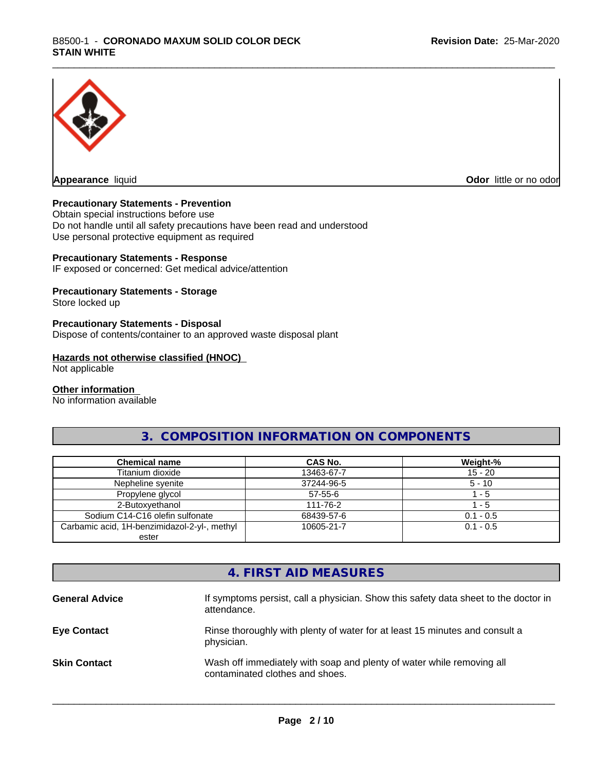

**Appearance** liquid **Odor in the original of the original of the original of the original of the original of the original of the original of the original of the original of the original of the original of the original of t** 

#### **Precautionary Statements - Prevention**

Obtain special instructions before use Do not handle until all safety precautions have been read and understood Use personal protective equipment as required

#### **Precautionary Statements - Response**

IF exposed or concerned: Get medical advice/attention

#### **Precautionary Statements - Storage**

Store locked up

#### **Precautionary Statements - Disposal**

Dispose of contents/container to an approved waste disposal plant

#### **Hazards not otherwise classified (HNOC)**

Not applicable

#### **Other information**

No information available

## **3. COMPOSITION INFORMATION ON COMPONENTS**

| <b>Chemical name</b>                         | CAS No.       | Weight-%    |
|----------------------------------------------|---------------|-------------|
| Titanium dioxide                             | 13463-67-7    | $15 - 20$   |
| Nepheline svenite                            | 37244-96-5    | $5 - 10$    |
| Propylene glycol                             | $57 - 55 - 6$ | - 5         |
| 2-Butoxyethanol                              | 111-76-2      | $-5$        |
| Sodium C14-C16 olefin sulfonate              | 68439-57-6    | $0.1 - 0.5$ |
| Carbamic acid, 1H-benzimidazol-2-yl-, methyl | 10605-21-7    | $0.1 - 0.5$ |
| ester                                        |               |             |

## **4. FIRST AID MEASURES**

| <b>General Advice</b> | If symptoms persist, call a physician. Show this safety data sheet to the doctor in<br>attendance.       |
|-----------------------|----------------------------------------------------------------------------------------------------------|
| <b>Eye Contact</b>    | Rinse thoroughly with plenty of water for at least 15 minutes and consult a<br>physician.                |
| <b>Skin Contact</b>   | Wash off immediately with soap and plenty of water while removing all<br>contaminated clothes and shoes. |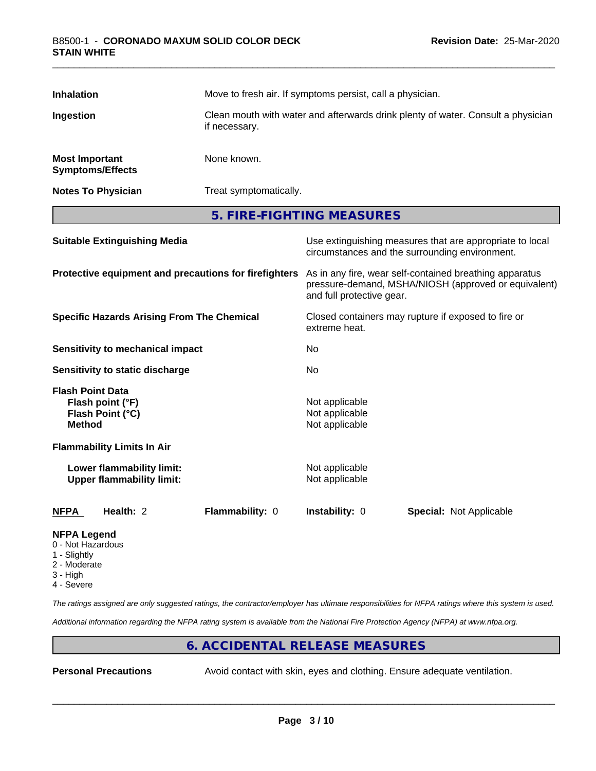| <b>Inhalation</b>                                                         |                                                                 | Move to fresh air. If symptoms persist, call a physician.<br>Clean mouth with water and afterwards drink plenty of water. Consult a physician<br>if necessary. |                                                    |                                                                                                                 |  |
|---------------------------------------------------------------------------|-----------------------------------------------------------------|----------------------------------------------------------------------------------------------------------------------------------------------------------------|----------------------------------------------------|-----------------------------------------------------------------------------------------------------------------|--|
| Ingestion                                                                 |                                                                 |                                                                                                                                                                |                                                    |                                                                                                                 |  |
| <b>Most Important</b>                                                     | <b>Symptoms/Effects</b>                                         | None known.                                                                                                                                                    |                                                    |                                                                                                                 |  |
|                                                                           | <b>Notes To Physician</b>                                       | Treat symptomatically.                                                                                                                                         |                                                    |                                                                                                                 |  |
|                                                                           |                                                                 |                                                                                                                                                                | 5. FIRE-FIGHTING MEASURES                          |                                                                                                                 |  |
|                                                                           | <b>Suitable Extinguishing Media</b>                             |                                                                                                                                                                |                                                    | Use extinguishing measures that are appropriate to local<br>circumstances and the surrounding environment.      |  |
|                                                                           |                                                                 | Protective equipment and precautions for firefighters                                                                                                          | and full protective gear.                          | As in any fire, wear self-contained breathing apparatus<br>pressure-demand, MSHA/NIOSH (approved or equivalent) |  |
|                                                                           | <b>Specific Hazards Arising From The Chemical</b>               |                                                                                                                                                                | extreme heat.                                      | Closed containers may rupture if exposed to fire or                                                             |  |
|                                                                           | <b>Sensitivity to mechanical impact</b>                         |                                                                                                                                                                | No                                                 |                                                                                                                 |  |
|                                                                           | Sensitivity to static discharge                                 |                                                                                                                                                                | No                                                 |                                                                                                                 |  |
| <b>Method</b>                                                             | <b>Flash Point Data</b><br>Flash point (°F)<br>Flash Point (°C) |                                                                                                                                                                | Not applicable<br>Not applicable<br>Not applicable |                                                                                                                 |  |
|                                                                           | <b>Flammability Limits In Air</b>                               |                                                                                                                                                                |                                                    |                                                                                                                 |  |
|                                                                           | Lower flammability limit:<br><b>Upper flammability limit:</b>   |                                                                                                                                                                | Not applicable<br>Not applicable                   |                                                                                                                 |  |
| <b>NFPA</b>                                                               | Health: 2                                                       | Flammability: 0                                                                                                                                                | Instability: 0                                     | Special: Not Applicable                                                                                         |  |
| <b>NFPA Legend</b><br>0 - Not Hazardous<br>$\bigcap$ if $\bigcup$ is also |                                                                 |                                                                                                                                                                |                                                    |                                                                                                                 |  |

- 1 Slightly
- 2 Moderate
- 3 High
- 4 Severe

*The ratings assigned are only suggested ratings, the contractor/employer has ultimate responsibilities for NFPA ratings where this system is used.*

*Additional information regarding the NFPA rating system is available from the National Fire Protection Agency (NFPA) at www.nfpa.org.*

## **6. ACCIDENTAL RELEASE MEASURES**

**Personal Precautions** Avoid contact with skin, eyes and clothing. Ensure adequate ventilation.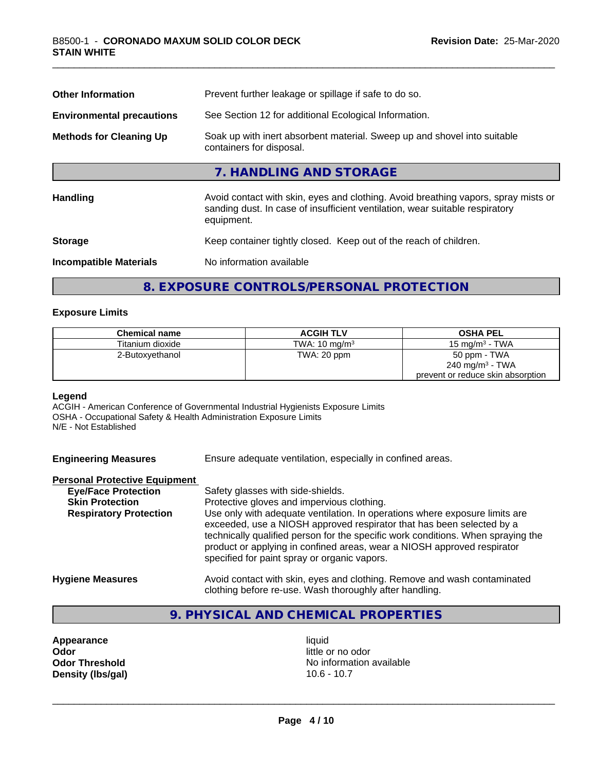| Prevent further leakage or spillage if safe to do so.                                                                                                                            |
|----------------------------------------------------------------------------------------------------------------------------------------------------------------------------------|
| See Section 12 for additional Ecological Information.                                                                                                                            |
| Soak up with inert absorbent material. Sweep up and shovel into suitable<br>containers for disposal.                                                                             |
| 7. HANDLING AND STORAGE                                                                                                                                                          |
| Avoid contact with skin, eyes and clothing. Avoid breathing vapors, spray mists or<br>sanding dust. In case of insufficient ventilation, wear suitable respiratory<br>equipment. |
| Keep container tightly closed. Keep out of the reach of children.                                                                                                                |
| No information available                                                                                                                                                         |
|                                                                                                                                                                                  |

## **8. EXPOSURE CONTROLS/PERSONAL PROTECTION**

#### **Exposure Limits**

| <b>Chemical name</b> | <b>ACGIH TLV</b>         | <b>OSHA PEL</b>                   |
|----------------------|--------------------------|-----------------------------------|
| Titanium dioxide     | TWA: $10 \text{ mg/m}^3$ | 15 mg/m $3$ - TWA                 |
| 2-Butoxyethanol      | TWA: 20 ppm              | 50 ppm - TWA                      |
|                      |                          | 240 mg/m <sup>3</sup> - TWA       |
|                      |                          | prevent or reduce skin absorption |

#### **Legend**

ACGIH - American Conference of Governmental Industrial Hygienists Exposure Limits OSHA - Occupational Safety & Health Administration Exposure Limits N/E - Not Established

| <b>Engineering Measures</b>          | Ensure adequate ventilation, especially in confined areas.                                                                                                                                                                                                                                                                                                          |
|--------------------------------------|---------------------------------------------------------------------------------------------------------------------------------------------------------------------------------------------------------------------------------------------------------------------------------------------------------------------------------------------------------------------|
| <b>Personal Protective Equipment</b> |                                                                                                                                                                                                                                                                                                                                                                     |
| <b>Eye/Face Protection</b>           | Safety glasses with side-shields.                                                                                                                                                                                                                                                                                                                                   |
| <b>Skin Protection</b>               | Protective gloves and impervious clothing.                                                                                                                                                                                                                                                                                                                          |
| <b>Respiratory Protection</b>        | Use only with adequate ventilation. In operations where exposure limits are<br>exceeded, use a NIOSH approved respirator that has been selected by a<br>technically qualified person for the specific work conditions. When spraying the<br>product or applying in confined areas, wear a NIOSH approved respirator<br>specified for paint spray or organic vapors. |
| <b>Hygiene Measures</b>              | Avoid contact with skin, eyes and clothing. Remove and wash contaminated<br>clothing before re-use. Wash thoroughly after handling.                                                                                                                                                                                                                                 |

## **9. PHYSICAL AND CHEMICAL PROPERTIES**

**Appearance** liquid **and a limitation of the contract of the contract of the contract of the contract of the contract of the contract of the contract of the contract of the contract of the contract of the contract of the c Density (lbs/gal)** 

little or no odor **Odor Threshold** No information available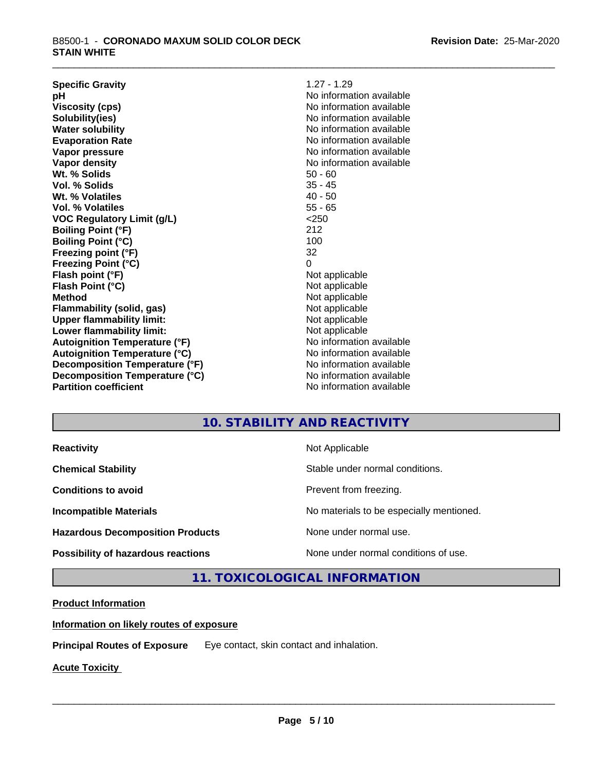| <b>Specific Gravity</b>              | $1.27 - 1.29$            |
|--------------------------------------|--------------------------|
| рH                                   | No information available |
| <b>Viscosity (cps)</b>               | No information available |
| Solubility(ies)                      | No information available |
| <b>Water solubility</b>              | No information available |
| <b>Evaporation Rate</b>              | No information available |
| Vapor pressure                       | No information available |
| Vapor density                        | No information available |
| Wt. % Solids                         | $50 - 60$                |
| Vol. % Solids                        | $35 - 45$                |
| Wt. % Volatiles                      | $40 - 50$                |
| Vol. % Volatiles                     | $55 - 65$                |
| <b>VOC Regulatory Limit (g/L)</b>    | < 250                    |
| <b>Boiling Point (°F)</b>            | 212                      |
| <b>Boiling Point (°C)</b>            | 100                      |
| Freezing point (°F)                  | 32                       |
| <b>Freezing Point (°C)</b>           | 0                        |
| Flash point (°F)                     | Not applicable           |
| Flash Point (°C)                     | Not applicable           |
| <b>Method</b>                        | Not applicable           |
| <b>Flammability (solid, gas)</b>     | Not applicable           |
| <b>Upper flammability limit:</b>     | Not applicable           |
| Lower flammability limit:            | Not applicable           |
| <b>Autoignition Temperature (°F)</b> | No information available |
| <b>Autoignition Temperature (°C)</b> | No information available |
| Decomposition Temperature (°F)       | No information available |
| Decomposition Temperature (°C)       | No information available |
| <b>Partition coefficient</b>         | No information available |
|                                      |                          |

## **10. STABILITY AND REACTIVITY**

**Hazardous Decomposition Products** None under normal use.

**Reactivity Not Applicable Not Applicable** 

**Chemical Stability Chemical Stability** Stable under normal conditions.

**Conditions to avoid Conditions to avoid Prevent from freezing.** 

**Incompatible Materials No materials** No materials to be especially mentioned.

 $\overline{\phantom{a}}$  ,  $\overline{\phantom{a}}$  ,  $\overline{\phantom{a}}$  ,  $\overline{\phantom{a}}$  ,  $\overline{\phantom{a}}$  ,  $\overline{\phantom{a}}$  ,  $\overline{\phantom{a}}$  ,  $\overline{\phantom{a}}$  ,  $\overline{\phantom{a}}$  ,  $\overline{\phantom{a}}$  ,  $\overline{\phantom{a}}$  ,  $\overline{\phantom{a}}$  ,  $\overline{\phantom{a}}$  ,  $\overline{\phantom{a}}$  ,  $\overline{\phantom{a}}$  ,  $\overline{\phantom{a}}$ 

**Possibility of hazardous reactions** None under normal conditions of use.

**11. TOXICOLOGICAL INFORMATION**

#### **Product Information**

**Information on likely routes of exposure**

**Principal Routes of Exposure** Eye contact, skin contact and inhalation.

**Acute Toxicity**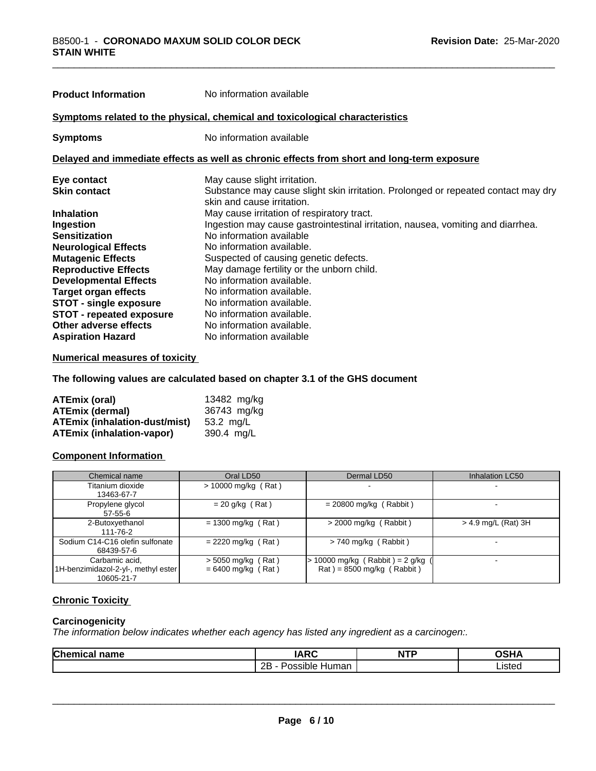| <b>Product Information</b>      | No information available                                                                                        |
|---------------------------------|-----------------------------------------------------------------------------------------------------------------|
|                                 | Symptoms related to the physical, chemical and toxicological characteristics                                    |
| <b>Symptoms</b>                 | No information available                                                                                        |
|                                 | Delayed and immediate effects as well as chronic effects from short and long-term exposure                      |
| Eye contact                     | May cause slight irritation.                                                                                    |
| <b>Skin contact</b>             | Substance may cause slight skin irritation. Prolonged or repeated contact may dry<br>skin and cause irritation. |
| <b>Inhalation</b>               | May cause irritation of respiratory tract.                                                                      |
| Ingestion                       | Ingestion may cause gastrointestinal irritation, nausea, vomiting and diarrhea.                                 |
| <b>Sensitization</b>            | No information available                                                                                        |
| <b>Neurological Effects</b>     | No information available.                                                                                       |
| <b>Mutagenic Effects</b>        | Suspected of causing genetic defects.                                                                           |
| <b>Reproductive Effects</b>     | May damage fertility or the unborn child.                                                                       |
| <b>Developmental Effects</b>    | No information available.                                                                                       |
| <b>Target organ effects</b>     | No information available.                                                                                       |
| <b>STOT - single exposure</b>   | No information available.                                                                                       |
| <b>STOT - repeated exposure</b> | No information available.                                                                                       |
| Other adverse effects           | No information available.                                                                                       |
| <b>Aspiration Hazard</b>        | No information available                                                                                        |

#### **Numerical measures of toxicity**

**The following values are calculated based on chapter 3.1 of the GHS document**

| ATEmix (oral)                        | 13482 mg/kg |
|--------------------------------------|-------------|
| <b>ATEmix (dermal)</b>               | 36743 mg/kg |
| <b>ATEmix (inhalation-dust/mist)</b> | 53.2 ma/L   |
| ATEmix (inhalation-vapor)            | 390.4 ma/L  |

#### **Component Information**

| Chemical name                                                       | Oral LD50                                    | Dermal LD50                                                             | Inhalation LC50     |
|---------------------------------------------------------------------|----------------------------------------------|-------------------------------------------------------------------------|---------------------|
| Titanium dioxide<br>13463-67-7                                      | $> 10000$ mg/kg (Rat)                        | $\,$                                                                    |                     |
| Propylene glycol<br>57-55-6                                         | $= 20$ g/kg (Rat)                            | $= 20800$ mg/kg (Rabbit)                                                |                     |
| 2-Butoxyethanol<br>111-76-2                                         | $= 1300$ mg/kg (Rat)                         | $>$ 2000 mg/kg (Rabbit)                                                 | > 4.9 mg/L (Rat) 3H |
| Sodium C14-C16 olefin sulfonate<br>68439-57-6                       | $= 2220$ mg/kg (Rat)                         | $> 740$ mg/kg (Rabbit)                                                  |                     |
| Carbamic acid.<br>1H-benzimidazol-2-yl-, methyl ester<br>10605-21-7 | $>$ 5050 mg/kg (Rat)<br>$= 6400$ mg/kg (Rat) | $\sqrt{10000}$ mg/kg (Rabbit) = 2 g/kg (<br>$Rat$ = 8500 mg/kg (Rabbit) |                     |

## **Chronic Toxicity**

## **Carcinogenicity**

*The information below indicateswhether each agency has listed any ingredient as a carcinogen:.*

| Chemical name | IAPC<br>IAIW                                       | <b>NTP</b> | ດຂ⊔∧<br>JSHA |
|---------------|----------------------------------------------------|------------|--------------|
|               | $\sim$<br>2E<br>neeihle<br>Human<br><b>311/115</b> |            | Listed       |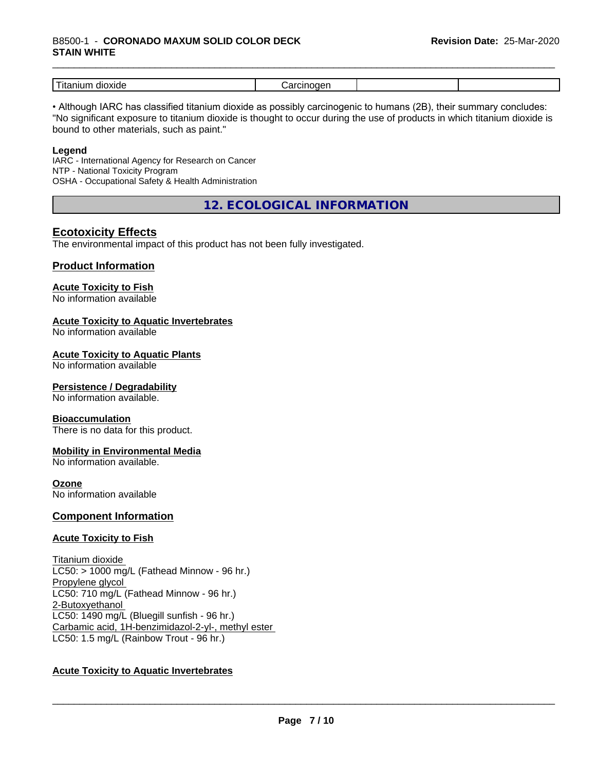#### \_\_\_\_\_\_\_\_\_\_\_\_\_\_\_\_\_\_\_\_\_\_\_\_\_\_\_\_\_\_\_\_\_\_\_\_\_\_\_\_\_\_\_\_\_\_\_\_\_\_\_\_\_\_\_\_\_\_\_\_\_\_\_\_\_\_\_\_\_\_\_\_\_\_\_\_\_\_\_\_\_\_\_\_\_\_\_\_\_\_\_\_\_ B8500-1 - **CORONADO MAXUM SOLID COLOR DECK STAIN WHITE**

| _<br>dioxide<br>$\sim$ $\sim$<br>шл<br>1 L c | .<br> |  |
|----------------------------------------------|-------|--|

• Although IARC has classified titanium dioxide as possibly carcinogenic to humans (2B), their summary concludes: "No significant exposure to titanium dioxide is thought to occur during the use of products in which titanium dioxide is bound to other materials, such as paint."

#### **Legend**

IARC - International Agency for Research on Cancer NTP - National Toxicity Program OSHA - Occupational Safety & Health Administration

**12. ECOLOGICAL INFORMATION**

## **Ecotoxicity Effects**

The environmental impact of this product has not been fully investigated.

## **Product Information**

## **Acute Toxicity to Fish**

No information available

## **Acute Toxicity to Aquatic Invertebrates**

No information available

## **Acute Toxicity to Aquatic Plants**

No information available

#### **Persistence / Degradability**

No information available.

#### **Bioaccumulation**

There is no data for this product.

#### **Mobility in Environmental Media**

No information available.

#### **Ozone**

No information available

#### **Component Information**

#### **Acute Toxicity to Fish**

Titanium dioxide  $LC50:$  > 1000 mg/L (Fathead Minnow - 96 hr.) Propylene glycol LC50: 710 mg/L (Fathead Minnow - 96 hr.) 2-Butoxyethanol LC50: 1490 mg/L (Bluegill sunfish - 96 hr.) Carbamic acid, 1H-benzimidazol-2-yl-, methyl ester LC50: 1.5 mg/L (Rainbow Trout - 96 hr.)

## **Acute Toxicity to Aquatic Invertebrates**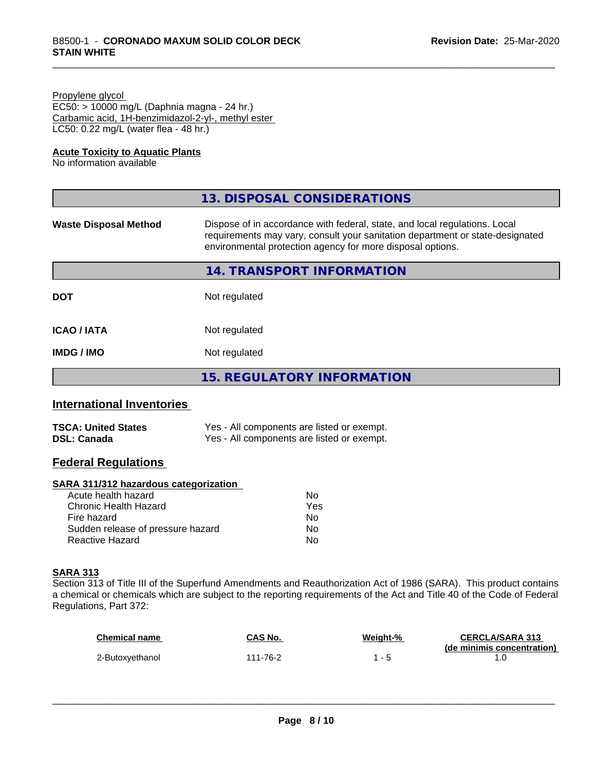#### Propylene glycol

EC50: > 10000 mg/L (Daphnia magna - 24 hr.) Carbamic acid, 1H-benzimidazol-2-yl-, methyl ester LC50: 0.22 mg/L (water flea - 48 hr.)

#### **Acute Toxicity to Aquatic Plants**

No information available

|                              | 13. DISPOSAL CONSIDERATIONS                                                                                                                                                                                               |
|------------------------------|---------------------------------------------------------------------------------------------------------------------------------------------------------------------------------------------------------------------------|
| <b>Waste Disposal Method</b> | Dispose of in accordance with federal, state, and local regulations. Local<br>requirements may vary, consult your sanitation department or state-designated<br>environmental protection agency for more disposal options. |
|                              | 14. TRANSPORT INFORMATION                                                                                                                                                                                                 |
| <b>DOT</b>                   | Not regulated                                                                                                                                                                                                             |
| <b>ICAO/IATA</b>             | Not regulated                                                                                                                                                                                                             |
| <b>IMDG/IMO</b>              | Not regulated                                                                                                                                                                                                             |
|                              | 15. REGULATORY INFORMATION                                                                                                                                                                                                |

# **International Inventories**

| <b>TSCA: United States</b> | Yes - All components are listed or exempt. |
|----------------------------|--------------------------------------------|
| <b>DSL: Canada</b>         | Yes - All components are listed or exempt. |

# **Federal Regulations**

## **SARA 311/312 hazardous categorization**

| Acute health hazard               | No  |  |
|-----------------------------------|-----|--|
| Chronic Health Hazard             | Yes |  |
| Fire hazard                       | N٥  |  |
| Sudden release of pressure hazard | Nο  |  |
| Reactive Hazard                   | Nο  |  |

## **SARA 313**

Section 313 of Title III of the Superfund Amendments and Reauthorization Act of 1986 (SARA). This product contains a chemical or chemicals which are subject to the reporting requirements of the Act and Title 40 of the Code of Federal Regulations, Part 372:

| <b>Chemical name</b> | CAS No.  | Weight-% | <b>CERCLA/SARA 313</b>     |
|----------------------|----------|----------|----------------------------|
| 2-Butoxyethanol      | 111-76-2 |          | (de minimis concentration) |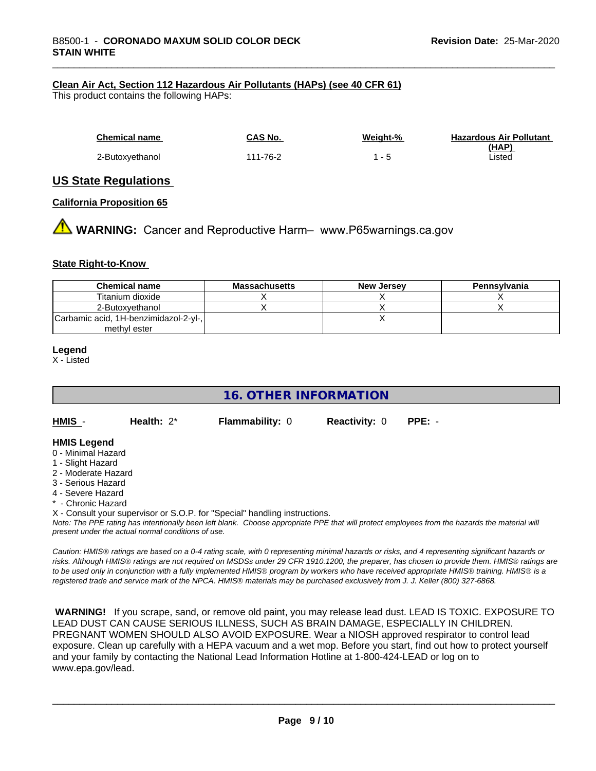#### **Clean Air Act,Section 112 Hazardous Air Pollutants (HAPs) (see 40 CFR 61)**

This product contains the following HAPs:

| <b>Chemical name</b> | CAS No.  | Weight-% | <b>Hazardous Air Pollutant</b> |
|----------------------|----------|----------|--------------------------------|
| 2-Butoxyethanol      | 111-76-2 | $1 - 5$  | (HAP)<br>∟isted                |

## **US State Regulations**

#### **California Proposition 65**

**AN** WARNING: Cancer and Reproductive Harm– www.P65warnings.ca.gov

#### **State Right-to-Know**

| <b>Chemical name</b>                  | <b>Massachusetts</b> | <b>New Jersey</b> | Pennsylvania |
|---------------------------------------|----------------------|-------------------|--------------|
| Titanium dioxide                      |                      |                   |              |
| 2-Butoxvethanol                       |                      |                   |              |
| Carbamic acid, 1H-benzimidazol-2-yl-, |                      |                   |              |
| methyl ester                          |                      |                   |              |

#### **Legend**

X - Listed

# **16. OTHER INFORMATION**

| HMIS | Health: $2^*$ | <b>Flammability: 0</b> | <b>Reactivity: 0</b> | $PPE: -$ |
|------|---------------|------------------------|----------------------|----------|
|      |               |                        |                      |          |

#### **HMIS Legend**

- 0 Minimal Hazard
- 1 Slight Hazard
- 2 Moderate Hazard
- 3 Serious Hazard
- 4 Severe Hazard
- \* Chronic Hazard

X - Consult your supervisor or S.O.P. for "Special" handling instructions.

*Note: The PPE rating has intentionally been left blank. Choose appropriate PPE that will protect employees from the hazards the material will present under the actual normal conditions of use.*

*Caution: HMISÒ ratings are based on a 0-4 rating scale, with 0 representing minimal hazards or risks, and 4 representing significant hazards or risks. Although HMISÒ ratings are not required on MSDSs under 29 CFR 1910.1200, the preparer, has chosen to provide them. HMISÒ ratings are to be used only in conjunction with a fully implemented HMISÒ program by workers who have received appropriate HMISÒ training. HMISÒ is a registered trade and service mark of the NPCA. HMISÒ materials may be purchased exclusively from J. J. Keller (800) 327-6868.*

 **WARNING!** If you scrape, sand, or remove old paint, you may release lead dust. LEAD IS TOXIC. EXPOSURE TO LEAD DUST CAN CAUSE SERIOUS ILLNESS, SUCH AS BRAIN DAMAGE, ESPECIALLY IN CHILDREN. PREGNANT WOMEN SHOULD ALSO AVOID EXPOSURE. Wear a NIOSH approved respirator to control lead exposure. Clean up carefully with a HEPA vacuum and a wet mop. Before you start, find out how to protect yourself and your family by contacting the National Lead Information Hotline at 1-800-424-LEAD or log on to www.epa.gov/lead.